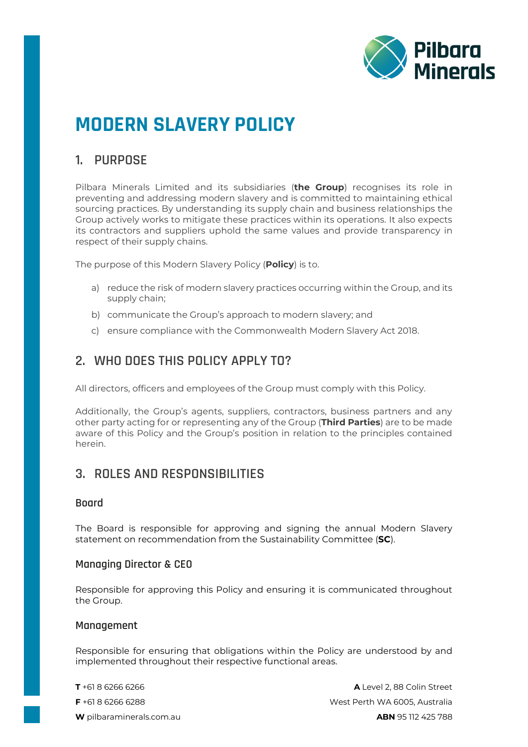

# **MODERN SLAVERY POLICY**

# **1. PURPOSE**

Pilbara Minerals Limited and its subsidiaries (**the Group**) recognises its role in preventing and addressing modern slavery and is committed to maintaining ethical sourcing practices. By understanding its supply chain and business relationships the Group actively works to mitigate these practices within its operations. It also expects its contractors and suppliers uphold the same values and provide transparency in respect of their supply chains.

The purpose of this Modern Slavery Policy (**Policy**) is to.

- a) reduce the risk of modern slavery practices occurring within the Group, and its supply chain;
- b) communicate the Group's approach to modern slavery; and
- c) ensure compliance with the Commonwealth Modern Slavery Act 2018.

# **2. WHO DOES THIS POLICY APPLY TO?**

All directors, officers and employees of the Group must comply with this Policy.

Additionally, the Group's agents, suppliers, contractors, business partners and any other party acting for or representing any of the Group (**Third Parties**) are to be made aware of this Policy and the Group's position in relation to the principles contained herein.

# **3. ROLES AND RESPONSIBILITIES**

### **Board**

The Board is responsible for approving and signing the annual Modern Slavery statement on recommendation from the Sustainability Committee (**SC**).

### **Managing Director & CEO**

Responsible for approving this Policy and ensuring it is communicated throughout the Group.

### **Management**

Responsible for ensuring that obligations within the Policy are understood by and implemented throughout their respective functional areas.

**T** +61 8 6266 6266 **A** Level 2, 88 Colin Street **F** +61 8 6266 6288 West Perth WA 6005, Australia **W** [pilbaraminerals.com.au](http://www.pilbaraminerals.com.au/) **ABN** 95 112 425 788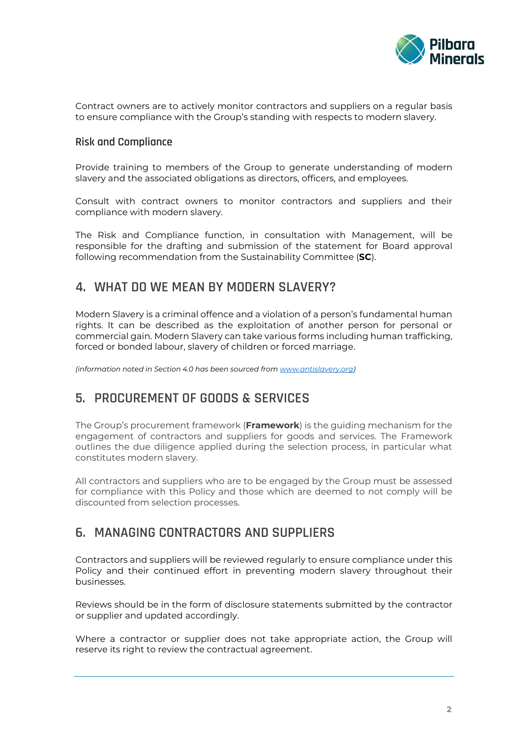

Contract owners are to actively monitor contractors and suppliers on a regular basis to ensure compliance with the Group's standing with respects to modern slavery.

## **Risk and Compliance**

Provide training to members of the Group to generate understanding of modern slavery and the associated obligations as directors, officers, and employees.

Consult with contract owners to monitor contractors and suppliers and their compliance with modern slavery.

The Risk and Compliance function, in consultation with Management, will be responsible for the drafting and submission of the statement for Board approval following recommendation from the Sustainability Committee (**SC**).

## **4. WHAT DO WE MEAN BY MODERN SLAVERY?**

Modern Slavery is a criminal offence and a violation of a person's fundamental human rights. It can be described as the exploitation of another person for personal or commercial gain. Modern Slavery can take various forms including human trafficking, forced or bonded labour, slavery of children or forced marriage.

*(information noted in Section 4.0 has been sourced fro[m www.antislavery.org\)](http://www.antislavery.org/)*

# **5. PROCUREMENT OF GOODS & SERVICES**

The Group's procurement framework (**Framework**) is the guiding mechanism for the engagement of contractors and suppliers for goods and services. The Framework outlines the due diligence applied during the selection process, in particular what constitutes modern slavery.

All contractors and suppliers who are to be engaged by the Group must be assessed for compliance with this Policy and those which are deemed to not comply will be discounted from selection processes.

## **6. MANAGING CONTRACTORS AND SUPPLIERS**

Contractors and suppliers will be reviewed regularly to ensure compliance under this Policy and their continued effort in preventing modern slavery throughout their businesses.

Reviews should be in the form of disclosure statements submitted by the contractor or supplier and updated accordingly.

Where a contractor or supplier does not take appropriate action, the Group will reserve its right to review the contractual agreement.